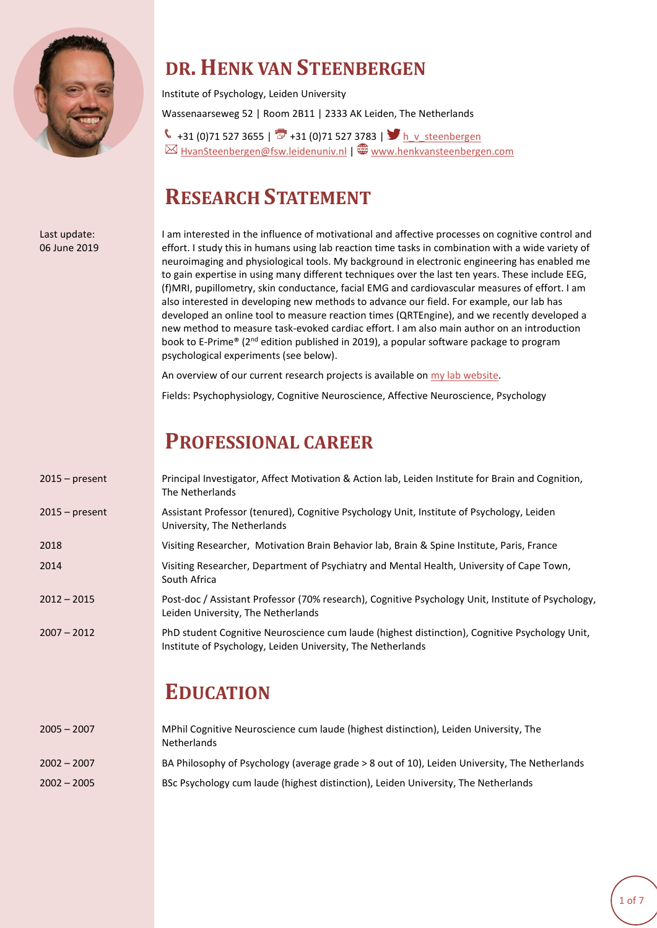

#### **DR. HENK VAN STEENBERGEN**

Institute of Psychology, Leiden University Wassenaarseweg 52 | Room 2B11 | 2333 AK Leiden, The Netherlands

 $\leftarrow +31$  (0)71 527 3655 |  $\overline{3}$  +31 (0)71 527 3783 |  $\sum_{n=1}^{\infty}$  h v steenbergen  $\boxtimes$  [HvanSteenbergen@fsw.leidenuniv.nl](mailto:HvanSteenbergen@fsw.leidenuniv.nl) | [www.henkvansteenbergen.com](http://www.henkvansteenbergen.com/)

### **RESEARCH STATEMENT**

Last update: 06 June 2019

I am interested in the influence of motivational and affective processes on cognitive control and effort. I study this in humans using lab reaction time tasks in combination with a wide variety of neuroimaging and physiological tools. My background in electronic engineering has enabled me to gain expertise in using many different techniques over the last ten years. These include EEG, (f)MRI, pupillometry, skin conductance, facial EMG and cardiovascular measures of effort. I am also interested in developing new methods to advance our field. For example, our lab has developed an online tool to measure reaction times (QRTEngine), and we recently developed a new method to measure task-evoked cardiac effort. I am also main author on an introduction book to E-Prime® (2<sup>nd</sup> edition published in 2019), a popular software package to program psychological experiments (see below).

An overview of our current research projects is available o[n my lab website.](http://www.henkvansteenbergen.com/research/)

Fields: Psychophysiology, Cognitive Neuroscience, Affective Neuroscience, Psychology

#### **PROFESSIONAL CAREER**

| $2015$ – present | Principal Investigator, Affect Motivation & Action lab, Leiden Institute for Brain and Cognition,<br>The Netherlands                                          |
|------------------|---------------------------------------------------------------------------------------------------------------------------------------------------------------|
| $2015$ – present | Assistant Professor (tenured), Cognitive Psychology Unit, Institute of Psychology, Leiden<br>University, The Netherlands                                      |
| 2018             | Visiting Researcher, Motivation Brain Behavior lab, Brain & Spine Institute, Paris, France                                                                    |
| 2014             | Visiting Researcher, Department of Psychiatry and Mental Health, University of Cape Town,<br>South Africa                                                     |
| $2012 - 2015$    | Post-doc / Assistant Professor (70% research), Cognitive Psychology Unit, Institute of Psychology,<br>Leiden University, The Netherlands                      |
| $2007 - 2012$    | PhD student Cognitive Neuroscience cum laude (highest distinction), Cognitive Psychology Unit,<br>Institute of Psychology, Leiden University, The Netherlands |
|                  | <b>EDUCATION</b>                                                                                                                                              |
| $2005 - 2007$    | MPhil Cognitive Neuroscience cum laude (highest distinction), Leiden University, The                                                                          |

| $2005 - 2007$ | TWPNII CORNITIVE NEUroscience cum laude (nighest distinction), Leiden University, The<br><b>Netherlands</b> |
|---------------|-------------------------------------------------------------------------------------------------------------|
| $2002 - 2007$ | BA Philosophy of Psychology (average grade > 8 out of 10), Leiden University, The Netherlands               |
| $2002 - 2005$ | BSc Psychology cum laude (highest distinction), Leiden University, The Netherlands                          |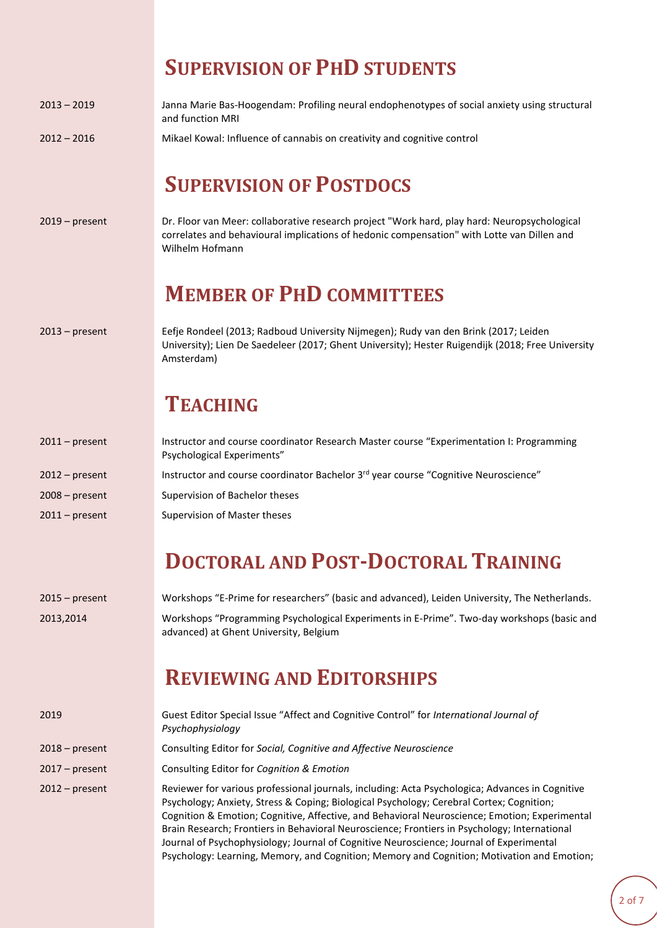|                  | <b>SUPERVISION OF PHD STUDENTS</b>                                                                                                                                                                            |
|------------------|---------------------------------------------------------------------------------------------------------------------------------------------------------------------------------------------------------------|
| $2013 - 2019$    | Janna Marie Bas-Hoogendam: Profiling neural endophenotypes of social anxiety using structural<br>and function MRI                                                                                             |
| $2012 - 2016$    | Mikael Kowal: Influence of cannabis on creativity and cognitive control                                                                                                                                       |
|                  | <b>SUPERVISION OF POSTDOCS</b>                                                                                                                                                                                |
| $2019$ – present | Dr. Floor van Meer: collaborative research project "Work hard, play hard: Neuropsychological<br>correlates and behavioural implications of hedonic compensation" with Lotte van Dillen and<br>Wilhelm Hofmann |
|                  | <b>MEMBER OF PHD COMMITTEES</b>                                                                                                                                                                               |
| $2013$ – present | Eefje Rondeel (2013; Radboud University Nijmegen); Rudy van den Brink (2017; Leiden<br>University); Lien De Saedeleer (2017; Ghent University); Hester Ruigendijk (2018; Free University<br>Amsterdam)        |
|                  | <b>TEACHING</b>                                                                                                                                                                                               |
| $2011$ – present | Instructor and course coordinator Research Master course "Experimentation I: Programming<br>Psychological Experiments"                                                                                        |
| $2012$ – present | Instructor and course coordinator Bachelor 3rd year course "Cognitive Neuroscience"                                                                                                                           |
| $2008 - present$ | Supervision of Bachelor theses                                                                                                                                                                                |
| $2011$ – present | Supervision of Master theses                                                                                                                                                                                  |
|                  | <b>DOCTODAL AND DOCT DOCTODAL TRAINING</b>                                                                                                                                                                    |

## **DOCTORAL AND POST-DOCTORAL TRAINING**

| $2015 - present$ | Workshops "E-Prime for researchers" (basic and advanced), Leiden University, The Netherlands.                                        |
|------------------|--------------------------------------------------------------------------------------------------------------------------------------|
| 2013.2014        | Workshops "Programming Psychological Experiments in E-Prime". Two-day workshops (basic and<br>advanced) at Ghent University, Belgium |

# **REVIEWING AND EDITORSHIPS**

| 2019             | Guest Editor Special Issue "Affect and Cognitive Control" for International Journal of<br>Psychophysiology                                                                                                                                                                                                                                                                                                                                                                                                                                                                            |
|------------------|---------------------------------------------------------------------------------------------------------------------------------------------------------------------------------------------------------------------------------------------------------------------------------------------------------------------------------------------------------------------------------------------------------------------------------------------------------------------------------------------------------------------------------------------------------------------------------------|
| $2018 - present$ | Consulting Editor for Social, Cognitive and Affective Neuroscience                                                                                                                                                                                                                                                                                                                                                                                                                                                                                                                    |
| $2017$ – present | Consulting Editor for Cognition & Emotion                                                                                                                                                                                                                                                                                                                                                                                                                                                                                                                                             |
| $2012$ – present | Reviewer for various professional journals, including: Acta Psychologica; Advances in Cognitive<br>Psychology; Anxiety, Stress & Coping; Biological Psychology; Cerebral Cortex; Cognition;<br>Cognition & Emotion; Cognitive, Affective, and Behavioral Neuroscience; Emotion; Experimental<br>Brain Research; Frontiers in Behavioral Neuroscience; Frontiers in Psychology; International<br>Journal of Psychophysiology; Journal of Cognitive Neuroscience; Journal of Experimental<br>Psychology: Learning, Memory, and Cognition; Memory and Cognition; Motivation and Emotion; |

....................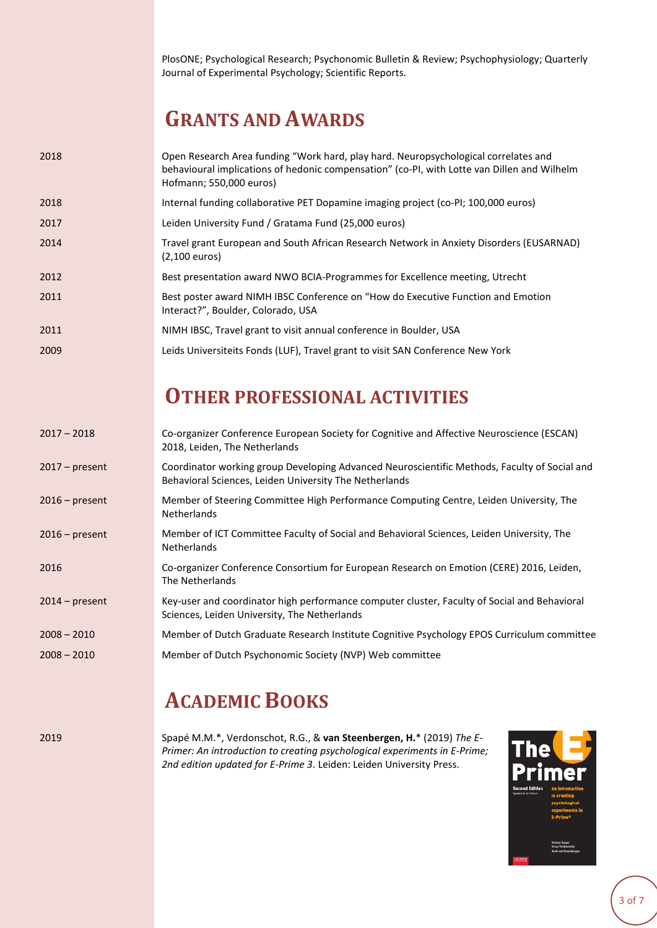PlosONE; Psychological Research; Psychonomic Bulletin & Review; Psychophysiology; Quarterly Journal of Experimental Psychology; Scientific Reports.

### **GRANTS AND AWARDS**

| 2018 | Open Research Area funding "Work hard, play hard. Neuropsychological correlates and<br>behavioural implications of hedonic compensation" (co-PI, with Lotte van Dillen and Wilhelm<br>Hofmann; 550,000 euros) |
|------|---------------------------------------------------------------------------------------------------------------------------------------------------------------------------------------------------------------|
| 2018 | Internal funding collaborative PET Dopamine imaging project (co-PI; 100,000 euros)                                                                                                                            |
| 2017 | Leiden University Fund / Gratama Fund (25,000 euros)                                                                                                                                                          |
| 2014 | Travel grant European and South African Research Network in Anxiety Disorders (EUSARNAD)<br>$(2,100$ euros)                                                                                                   |
| 2012 | Best presentation award NWO BCIA-Programmes for Excellence meeting, Utrecht                                                                                                                                   |
| 2011 | Best poster award NIMH IBSC Conference on "How do Executive Function and Emotion<br>Interact?", Boulder, Colorado, USA                                                                                        |
| 2011 | NIMH IBSC, Travel grant to visit annual conference in Boulder, USA                                                                                                                                            |
| 2009 | Leids Universiteits Fonds (LUF), Travel grant to visit SAN Conference New York                                                                                                                                |

#### **OTHER PROFESSIONAL ACTIVITIES**

| $2017 - 2018$    | Co-organizer Conference European Society for Cognitive and Affective Neuroscience (ESCAN)<br>2018, Leiden, The Netherlands                             |
|------------------|--------------------------------------------------------------------------------------------------------------------------------------------------------|
| $2017$ – present | Coordinator working group Developing Advanced Neuroscientific Methods, Faculty of Social and<br>Behavioral Sciences, Leiden University The Netherlands |
| $2016$ – present | Member of Steering Committee High Performance Computing Centre, Leiden University, The<br><b>Netherlands</b>                                           |
| $2016$ – present | Member of ICT Committee Faculty of Social and Behavioral Sciences, Leiden University, The<br><b>Netherlands</b>                                        |
| 2016             | Co-organizer Conference Consortium for European Research on Emotion (CERE) 2016, Leiden,<br>The Netherlands                                            |
| $2014$ – present | Key-user and coordinator high performance computer cluster, Faculty of Social and Behavioral<br>Sciences, Leiden University, The Netherlands           |
| $2008 - 2010$    | Member of Dutch Graduate Research Institute Cognitive Psychology EPOS Curriculum committee                                                             |
| $2008 - 2010$    | Member of Dutch Psychonomic Society (NVP) Web committee                                                                                                |
|                  |                                                                                                                                                        |

### **ACADEMIC BOOKS**

2019 Spapé M.M.\*, Verdonschot, R.G., & **van Steenbergen, H.**\* (2019) *The E-Primer: An introduction to creating psychological experiments in E-Prime; 2nd edition updated for E-Prime 3*. Leiden: Leiden University Press.

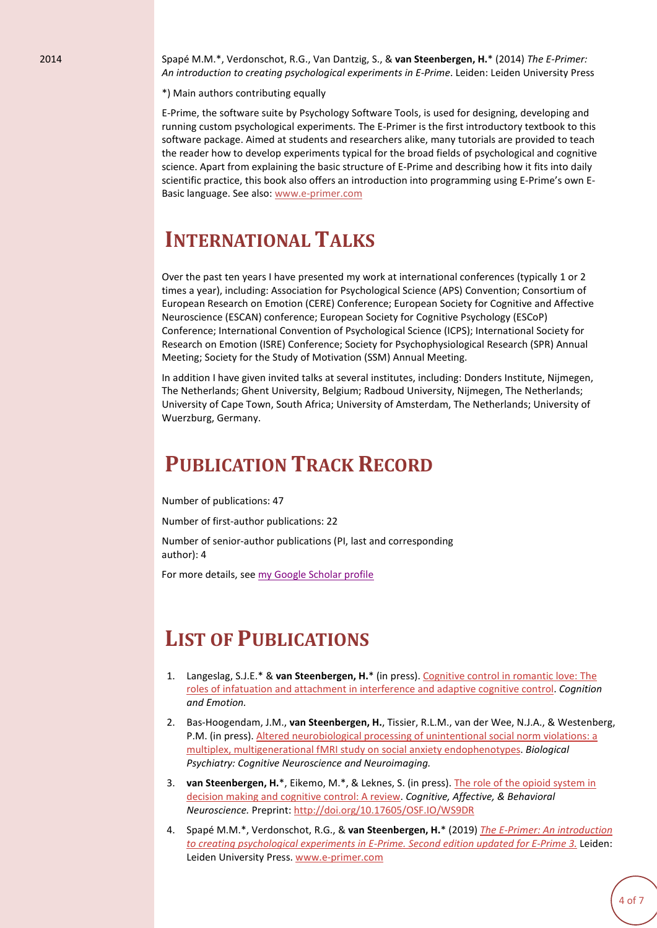2014 Spapé M.M.\*, Verdonschot, R.G., Van Dantzig, S., & **van Steenbergen, H.**\* (2014) *The E-Primer: An introduction to creating psychological experiments in E-Prime*. Leiden: Leiden University Press

\*) Main authors contributing equally

E-Prime, the software suite by Psychology Software Tools, is used for designing, developing and running custom psychological experiments. The E-Primer is the first introductory textbook to this software package. Aimed at students and researchers alike, many tutorials are provided to teach the reader how to develop experiments typical for the broad fields of psychological and cognitive science. Apart from explaining the basic structure of E-Prime and describing how it fits into daily scientific practice, this book also offers an introduction into programming using E-Prime's own E-Basic language. See also: [www.e-primer.com](http://www.e-primer.com/)

### **INTERNATIONAL TALKS**

Over the past ten years I have presented my work at international conferences (typically 1 or 2 times a year), including: Association for Psychological Science (APS) Convention; Consortium of European Research on Emotion (CERE) Conference; European Society for Cognitive and Affective Neuroscience (ESCAN) conference; European Society for Cognitive Psychology (ESCoP) Conference; International Convention of Psychological Science (ICPS); International Society for Research on Emotion (ISRE) Conference; Society for Psychophysiological Research (SPR) Annual Meeting; Society for the Study of Motivation (SSM) Annual Meeting.

In addition I have given invited talks at several institutes, including: Donders Institute, Nijmegen, The Netherlands; Ghent University, Belgium; Radboud University, Nijmegen, The Netherlands; University of Cape Town, South Africa; University of Amsterdam, The Netherlands; University of Wuerzburg, Germany.

### **PUBLICATION TRACK RECORD**

Number of publications: 47

Number of first-author publications: 22

Number of senior-author publications (PI, last and corresponding author): 4

For more details, see [my Google Scholar profile](https://scholar.google.nl/citations?user=WJl7gKcAAAAJ&hl=nl)

### **LIST OF PUBLICATIONS**

- 1. Langeslag, S.J.E.\* & **van Steenbergen, H.**\* (in press). [Cognitive](http://www.henkvansteenbergen.com/wp-content/uploads/2015/07/Langeslag-van-Steenbergen-2019-Cognitive-control-in-romantic-love_-The-roles-of-infatuation-and-attachment-sm.pdf) control in romantic love: The roles of infatuation and attachment in [interference](http://www.henkvansteenbergen.com/wp-content/uploads/2015/07/Langeslag-van-Steenbergen-2019-Cognitive-control-in-romantic-love_-The-roles-of-infatuation-and-attachment-sm.pdf) and adaptive cognitive control. *Cognition and Emotion.*
- 2. Bas-Hoogendam, J.M., **van Steenbergen, H.**, Tissier, R.L.M., van der Wee, N.J.A., & Westenberg, P.M. (in press). Altered [neurobiological](https://www.biologicalpsychiatrycnni.org/article/S2451-9022(19)30071-0/pdf) processing of unintentional social norm violations: a multiplex, [multigenerational](https://www.biologicalpsychiatrycnni.org/article/S2451-9022(19)30071-0/pdf) fMRI study on social anxiety endophenotypes. *Biological Psychiatry: Cognitive Neuroscience and Neuroimaging.*
- 3. **van Steenbergen, H.**\*, Eikemo, M.\*, & Leknes, S. (in press). The role of the opioid [system](http://www.henkvansteenbergen.com/wp-content/uploads/2015/07/van-Steenbergen-Eikemo-Leknes-2019-The-role-of-the-opioid-system-in-decision-making-and-cognitive-control.pdf) in decision making and [cognitive](http://www.henkvansteenbergen.com/wp-content/uploads/2015/07/van-Steenbergen-Eikemo-Leknes-2019-The-role-of-the-opioid-system-in-decision-making-and-cognitive-control.pdf) control: A review. *Cognitive, Affective, & Behavioral Neuroscience.* Preprint: <http://doi.org/10.17605/OSF.IO/WS9DR>
- 4. Spapé M.M.\*, Verdonschot, R.G., & **van Steenbergen, H.**\* (2019) *The E-Primer: An [introduction](http://www.henkvansteenbergen.com/wp-content/uploads/2019/05/The_E-Primer_An-introduction-to-creating-psychological-experiments-in-E-Prime_2nd-ed_Preview_compr.pdf) to creating [psychological](http://www.henkvansteenbergen.com/wp-content/uploads/2019/05/The_E-Primer_An-introduction-to-creating-psychological-experiments-in-E-Prime_2nd-ed_Preview_compr.pdf) experiments in E-Prime. Second edition updated for E-Prime 3.* Leiden: Leiden University Press. [www.e-primer.com](http://www.e-primer.com/)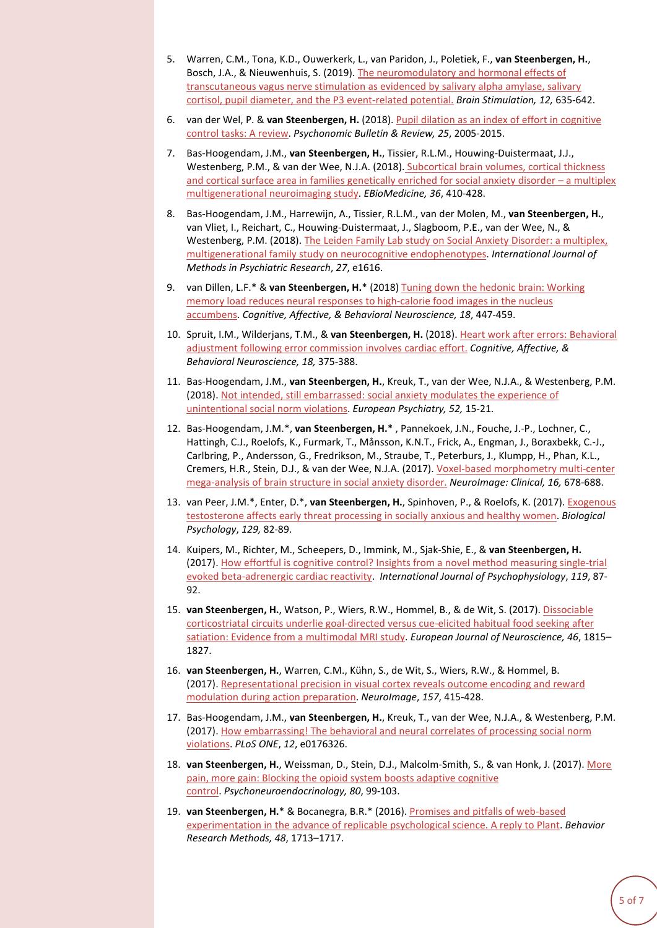- 5. Warren, C.M., Tona, K.D., Ouwerkerk, L., van Paridon, J., Poletiek, F., **van Steenbergen, H.**, Bosch, J.A., & Nieuwenhuis, S. (2019). The [neuromodulatory](http://www.sandernieuwenhuis.nl/pdfs/Warren_BrainStimulation.pdf) and hormonal effects of [transcutaneous](http://www.sandernieuwenhuis.nl/pdfs/Warren_BrainStimulation.pdf) vagus nerve stimulation as evidenced by salivary alpha amylase, salivary cortisol, pupil diameter, and the P3 [event-related](http://www.sandernieuwenhuis.nl/pdfs/Warren_BrainStimulation.pdf) potential. *Brain Stimulation, 12,* 635-642.
- 6. van der Wel, P. & **van Steenbergen, H.** (2018). Pupil dilation as an index of effort in [cognitive](http://www.henkvansteenbergen.com/wp-content/uploads/2015/07/van-der-Wel-van-Steenbergen-2018-Pupil-dilation-as-an-index-of-effort-in-cognitive-control-tasks-review.pdf) control tasks: A [review.](http://www.henkvansteenbergen.com/wp-content/uploads/2015/07/van-der-Wel-van-Steenbergen-2018-Pupil-dilation-as-an-index-of-effort-in-cognitive-control-tasks-review.pdf) *Psychonomic Bulletin & Review, 25*, 2005-2015.
- 7. Bas-Hoogendam, J.M., **van Steenbergen, H.**, Tissier, R.L.M., Houwing-Duistermaat, J.J., Westenberg, P.M., & van der Wee, N.J.A. (2018). [Subcortical](https://www.ebiomedicine.com/article/S2352-3964(18)30340-2/fulltext) brain volumes, cortical thickness and cortical surface area in families [genetically](https://www.ebiomedicine.com/article/S2352-3964(18)30340-2/fulltext) enriched for social anxiety disorder – a multiplex [multigenerational](https://www.ebiomedicine.com/article/S2352-3964(18)30340-2/fulltext) neuroimaging study. *EBioMedicine, 36*, 410-428.
- 8. Bas-Hoogendam, J.M., Harrewijn, A., Tissier, R.L.M., van der Molen, M., **van Steenbergen, H.**, van Vliet, I., Reichart, C., Houwing-Duistermaat, J., Slagboom, P.E., van der Wee, N., & Westenberg, P.M. (2018). The Leiden Family Lab study on Social Anxiety Disorder: a [multiplex,](https://onlinelibrary.wiley.com/doi/abs/10.1002/mpr.1616) [multigenerational](https://onlinelibrary.wiley.com/doi/abs/10.1002/mpr.1616) family study on neurocognitive endophenotypes. *International Journal of Methods in Psychiatric Research*, *27*, e1616.
- 9. van Dillen, L.F.\* & **van Steenbergen, H.**\* (2018) Tuning down the hedonic brain: [Working](http://www.henkvansteenbergen.com/wp-content/uploads/2015/07/van-Dillen-van-Steenbergen-2018-Tuning-Down-the-Hedonic-Brain.pdf) memory load reduces neural responses to [high-calorie](http://www.henkvansteenbergen.com/wp-content/uploads/2015/07/van-Dillen-van-Steenbergen-2018-Tuning-Down-the-Hedonic-Brain.pdf) food images in the nucleus [accumbens.](http://www.henkvansteenbergen.com/wp-content/uploads/2015/07/van-Dillen-van-Steenbergen-2018-Tuning-Down-the-Hedonic-Brain.pdf) *Cognitive, Affective, & Behavioral Neuroscience, 18*, 447-459.
- 10. Spruit, I.M., Wilderjans, T.M., & **van Steenbergen, H.** (2018). Heart work after errors: [Behavioral](http://www.henkvansteenbergen.com/wp-content/uploads/2018/02/Spruit-et-al.-2018-Heart-work-after-errors_Behavioral-adjustment-following-error-commission-involves-cardiac.pdf) adjustment following error [commission](http://www.henkvansteenbergen.com/wp-content/uploads/2018/02/Spruit-et-al.-2018-Heart-work-after-errors_Behavioral-adjustment-following-error-commission-involves-cardiac.pdf) involves cardiac effort. *Cognitive, Affective, & Behavioral Neuroscience, 18,* 375-388.
- 11. Bas-Hoogendam, J.M., **van Steenbergen, H.**, Kreuk, T., van der Wee, N.J.A., & Westenberg, P.M. (2018). Not intended, still [embarrassed:](http://www.europsy-journal.com/article/S0924-9338(18)30071-3/fulltext) social anxiety modulates the experience of [unintentional](http://www.europsy-journal.com/article/S0924-9338(18)30071-3/fulltext) social norm violations. *European Psychiatry, 52,* 15-21.
- 12. Bas-Hoogendam, J.M.\*, **van Steenbergen, H.**\* , Pannekoek, J.N., Fouche, J.-P., Lochner, C., Hattingh, C.J., Roelofs, K., Furmark, T., Månsson, K.N.T., Frick, A., Engman, J., Boraxbekk, C.-J., Carlbring, P., Andersson, G., Fredrikson, M., Straube, T., Peterburs, J., Klumpp, H., Phan, K.L., Cremers, H.R., Stein, D.J., & van der Wee, N.J.A. (2017). Voxel-based [morphometry](http://www.henkvansteenbergen.com/wp-content/uploads/2017/10/Bas-Hoogendam-van-Steenbergen-et-al.-2017-Voxel-Based-Morphometry-Multi-Center-Mega-Analysis-of-Brain-Structure-in-Social-Anxiety-Disorder.pdf) multi-center [mega-analysis](http://www.henkvansteenbergen.com/wp-content/uploads/2017/10/Bas-Hoogendam-van-Steenbergen-et-al.-2017-Voxel-Based-Morphometry-Multi-Center-Mega-Analysis-of-Brain-Structure-in-Social-Anxiety-Disorder.pdf) of brain structure in social anxiety disorder. *NeuroImage: Clinical, 16,* 678-688.
- 13. van Peer, J.M.\*, Enter, D.\*, **van Steenbergen, H.**, Spinhoven, P., & Roelofs, K. (2017). [Exogenous](http://www.henkvansteenbergen.com/wp-content/uploads/2017/09/van-Peer-Enter-et-al.-2017-Exogenous-Testosterone-Affects-Early-Threat-Processing-in-Socially-Anxious-and-Healthy-Women.pdf) [testosterone](http://www.henkvansteenbergen.com/wp-content/uploads/2017/09/van-Peer-Enter-et-al.-2017-Exogenous-Testosterone-Affects-Early-Threat-Processing-in-Socially-Anxious-and-Healthy-Women.pdf) affects early threat processing in socially anxious and healthy women. *Biological Psychology*, *129,* 82-89.
- 14. Kuipers, M., Richter, M., Scheepers, D., Immink, M., Sjak-Shie, E., & **van Steenbergen, H.** (2017). How effortful is cognitive control? Insights from a novel method measuring [single-trial](http://www.henkvansteenbergen.com/wp-content/uploads/2015/07/Kuipers_ea_How-effortful-is-cognitive-control_Insights-from-a-novel-method-measuring-single-trial-evoked-beta-adrenergic.pdf) evoked [beta-adrenergic](http://www.henkvansteenbergen.com/wp-content/uploads/2015/07/Kuipers_ea_How-effortful-is-cognitive-control_Insights-from-a-novel-method-measuring-single-trial-evoked-beta-adrenergic.pdf) cardiac reactivity. *International Journal of Psychophysiology*, *119*, 87- 92.
- 15. **van Steenbergen, H.**, Watson, P., Wiers, R.W., Hommel, B., & de Wit, S. (2017). [Dissociable](http://www.henkvansteenbergen.com/wp-content/uploads/2015/07/van-Steenbergen-et-al.-2017-Dissociable-corticostriatal-circuits-underlie-goal-directed-versus-cue-elicited-habitual-food-seeking-after-satiation.pdf) [corticostriatal](http://www.henkvansteenbergen.com/wp-content/uploads/2015/07/van-Steenbergen-et-al.-2017-Dissociable-corticostriatal-circuits-underlie-goal-directed-versus-cue-elicited-habitual-food-seeking-after-satiation.pdf) circuits underlie goal-directed versus cue-elicited habitual food seeking after satiation: Evidence from a [multimodal](http://www.henkvansteenbergen.com/wp-content/uploads/2015/07/van-Steenbergen-et-al.-2017-Dissociable-corticostriatal-circuits-underlie-goal-directed-versus-cue-elicited-habitual-food-seeking-after-satiation.pdf) MRI study. *European Journal of Neuroscience, 46*, 1815– 1827.
- 16. **van Steenbergen, H.**, Warren, C.M., Kühn, S., de Wit, S., Wiers, R.W., & Hommel, B. (2017). [Representational](http://www.henkvansteenbergen.com/wp-content/uploads/2015/07/van-Steenbergen-et-al.-2017-Representational-precision-in-visual-cortex-reveals-outcome-and-reward.pdf) precision in visual cortex reveals outcome encoding and reward modulation during action [preparation.](http://www.henkvansteenbergen.com/wp-content/uploads/2015/07/van-Steenbergen-et-al.-2017-Representational-precision-in-visual-cortex-reveals-outcome-and-reward.pdf) *NeuroImage*, *157*, 415-428.
- 17. Bas-Hoogendam, J.M., **van Steenbergen, H.**, Kreuk, T., van der Wee, N.J.A., & Westenberg, P.M. (2017). How [embarrassing!](http://journals.plos.org/plosone/article?id=10.1371/journal.pone.0176326) The behavioral and neural correlates of processing social norm [violations.](http://journals.plos.org/plosone/article?id=10.1371/journal.pone.0176326) *PLoS ONE*, *12*, e0176326.
- 18. **van Steenbergen, H.**, Weissman, D., Stein, D.J., Malcolm-Smith, S., & van Honk, J. (2017). [More](http://www.henkvansteenbergen.com/wp-content/uploads/2015/07/van-Steenbergen-et-al.-2017-More-pain-more-gain-Blocking-the-opioid-system-boosts-adaptive-cognitive-control.pdf) pain, more gain: Blocking the opioid system boosts adaptive [cognitive](http://www.henkvansteenbergen.com/wp-content/uploads/2015/07/van-Steenbergen-et-al.-2017-More-pain-more-gain-Blocking-the-opioid-system-boosts-adaptive-cognitive-control.pdf) [control.](http://www.henkvansteenbergen.com/wp-content/uploads/2015/07/van-Steenbergen-et-al.-2017-More-pain-more-gain-Blocking-the-opioid-system-boosts-adaptive-cognitive-control.pdf) *Psychoneuroendocrinology, 80*, 99-103.
- 19. **van Steenbergen, H.**\* & Bocanegra, B.R.\* (2016). Promises and pitfalls of [web-based](http://www.henkvansteenbergen.com/wp-content/uploads/2015/07/van-Steenbergen-Bocanegra-2015-Promises-and-pitfalls-of-web-based-experimentation-in-the-advance-of-replicable-psychological-science.pdf) [experimentation](http://www.henkvansteenbergen.com/wp-content/uploads/2015/07/van-Steenbergen-Bocanegra-2015-Promises-and-pitfalls-of-web-based-experimentation-in-the-advance-of-replicable-psychological-science.pdf) in the advance of replicable psychological science. A reply to Plant. *Behavior Research Methods, 48*, 1713–1717.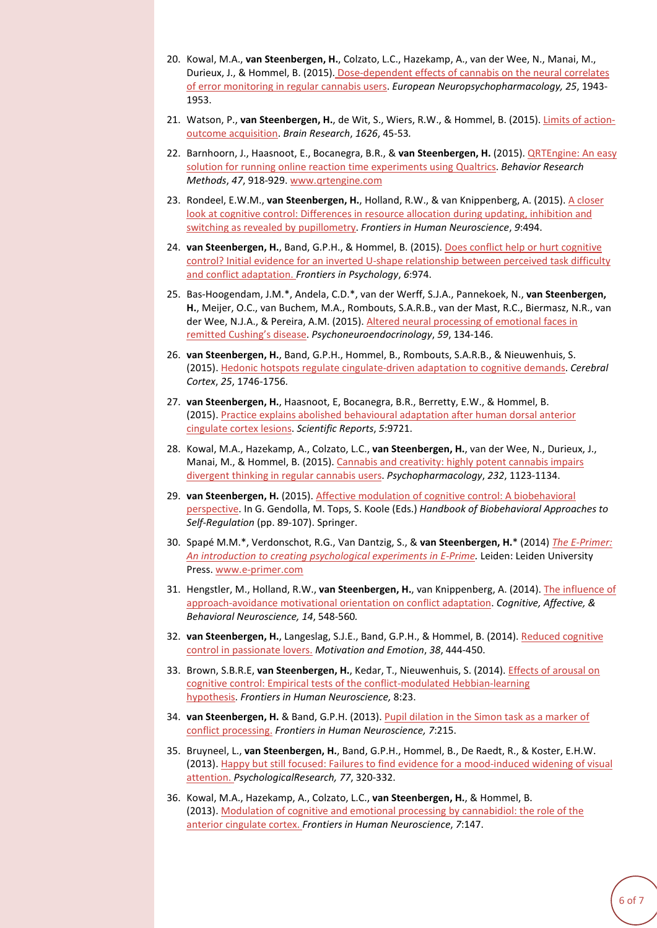- 20. Kowal, M.A., **van Steenbergen, H.**, Colzato, L.C., Hazekamp, A., van der Wee, N., Manai, M., Durieux, J., & Hommel, B. (2015). [Dose-dependent](http://www.sciencedirect.com/science/article/pii/S0924977X15002461) effects of cannabis on the neural correlates of error [monitoring](http://www.sciencedirect.com/science/article/pii/S0924977X15002461) in regular cannabis users. *European Neuropsychopharmacology, 25*, 1943- 1953.
- 21. Watson, P., **van Steenbergen, H.**, de Wit, S., Wiers, R.W., & Hommel, B. (2015). Limits of [action](http://bernhard-hommel.eu/Ideomotor_WatsonetAl.pdf)outcome [acquisition.](http://bernhard-hommel.eu/Ideomotor_WatsonetAl.pdf) *Brain Research*, *1626*, 45-53*.*
- 22. Barnhoorn, J., Haasnoot, E., Bocanegra, B.R., & **van Steenbergen, H.** (2015). [QRTEngine:](http://www.henkvansteenbergen.com/wp-content/uploads/2015/07/Barnhoorn-et-al.-2015-QRTEngine-An-Easy-Solution-for-Running-Online-Reaction-Time-Experiments-Using-Qualtrics.pdf) An easy solution for running online reaction time [experiments](http://www.henkvansteenbergen.com/wp-content/uploads/2015/07/Barnhoorn-et-al.-2015-QRTEngine-An-Easy-Solution-for-Running-Online-Reaction-Time-Experiments-Using-Qualtrics.pdf) using Qualtrics. *Behavior Research Methods*, *47*, 918-929. [www.qrtengine.com](http://www.qrtengine.com/)
- 23. Rondeel, E.W.M., **van Steenbergen, H.**, Holland, R.W., & van Knippenberg, A. (2015). A [closer](http://journal.frontiersin.org/article/10.3389/fnhum.2015.00494/abstract) look at cognitive control: [Differences](http://journal.frontiersin.org/article/10.3389/fnhum.2015.00494/abstract) in resource allocation during updating, inhibition and switching as revealed by [pupillometry.](http://journal.frontiersin.org/article/10.3389/fnhum.2015.00494/abstract) *Frontiers in Human Neuroscience*, *9*:494.
- 24. **van Steenbergen, H.**, Band, G.P.H., & Hommel, B. (2015). Does conflict help or hurt [cognitive](http://journal.frontiersin.org/article/10.3389/fpsyg.2015.00974/abstract) control? Initial evidence for an inverted U-shape [relationship](http://journal.frontiersin.org/article/10.3389/fpsyg.2015.00974/abstract) between perceived task difficulty and conflict [adaptation.](http://journal.frontiersin.org/article/10.3389/fpsyg.2015.00974/abstract) *Frontiers in Psychology*, *6*:974.
- 25. Bas-Hoogendam, J.M.\*, Andela, C.D.\*, van der Werff, S.J.A., Pannekoek, N., **van Steenbergen, H.**, Meijer, O.C., van Buchem, M.A., Rombouts, S.A.R.B., van der Mast, R.C., Biermasz, N.R., van der Wee, N.J.A., & Pereira, A.M. (2015). Altered neural [processing](http://www.sciencedirect.com/science/article/pii/S030645301500181X) of emotional faces in remitted [Cushing's](http://www.sciencedirect.com/science/article/pii/S030645301500181X) disease. *Psychoneuroendocrinology*, *59*, 134-146.
- 26. **van Steenbergen, H.**, Band, G.P.H., Hommel, B., Rombouts, S.A.R.B., & Nieuwenhuis, S. (2015). Hedonic hotspots regulate [cingulate-driven](http://www.henkvansteenbergen.com/wp-content/uploads/Papers/van-Steenbergen-et-al.-2015-Hedonic-hotspots-regulate-cingulate-driven-adaptation-to-cognitive-demands.pdf) adaptation to cognitive demands. *Cerebral Cortex*, *25*, 1746-1756.
- 27. **van Steenbergen, H.**, Haasnoot, E, Bocanegra, B.R., Berretty, E.W., & Hommel, B. (2015). Practice explains abolished [behavioural](http://www.henkvansteenbergen.com/wp-content/uploads/Papers/van-Steenbergen-et-al.-2015-Practice-explains-abolished-behavioural-adaptation-after-human-dorsal-anterior-cingulate-cortex-lesions.pdf) adaptation after human dorsal anterior [cingulate](http://www.henkvansteenbergen.com/wp-content/uploads/Papers/van-Steenbergen-et-al.-2015-Practice-explains-abolished-behavioural-adaptation-after-human-dorsal-anterior-cingulate-cortex-lesions.pdf) cortex lesions. *Scientific Reports*, *5*:9721.
- 28. Kowal, M.A., Hazekamp, A., Colzato, L.C., **van Steenbergen, H.**, van der Wee, N., Durieux, J., Manai, M., & Hommel, B. (2015). Cannabis and [creativity:](http://bernhard-hommel.eu/Kowal-et-al.-Psychopharmacology.pdf) highly potent cannabis impairs [divergent](http://bernhard-hommel.eu/Kowal-et-al.-Psychopharmacology.pdf) thinking in regular cannabis users. *Psychopharmacology*, *232*, 1123-1134.
- 29. **van Steenbergen, H.** (2015). Affective modulation of cognitive control: A [biobehavioral](http://www.henkvansteenbergen.com/wp-content/uploads/Papers/van-Steenbergen-2014-Affective-Modulation-of-Cognitive-Control-A-Biobehavioral-Perspective.pdf) [perspective.](http://www.henkvansteenbergen.com/wp-content/uploads/Papers/van-Steenbergen-2014-Affective-Modulation-of-Cognitive-Control-A-Biobehavioral-Perspective.pdf) In G. Gendolla, M. Tops, S. Koole (Eds.) *Handbook of Biobehavioral Approaches to Self-Regulation* (pp. 89-107). Springer.
- 30. Spapé M.M.\*, Verdonschot, R.G., Van Dantzig, S., & **van Steenbergen, H.**\* (2014) *The [E-Primer:](http://www.henkvansteenbergen.com/wp-content/uploads/Papers/The-E-Primer_-An-introduction-to-creating-psychological-experiments-in-E-Prime-PREVIEW.pdf) An introduction to creating [psychological](http://www.henkvansteenbergen.com/wp-content/uploads/Papers/The-E-Primer_-An-introduction-to-creating-psychological-experiments-in-E-Prime-PREVIEW.pdf) experiments in E-Prime.* Leiden: Leiden University Press. [www.e-primer.com](http://www.e-primer.com/)
- 31. Hengstler, M., Holland, R.W., **van Steenbergen, H.**, van Knippenberg, A. (2014). The [influence](http://www.henkvansteenbergen.com/wp-content/uploads/Papers/Hengstler-et-al.-2014-The-Influence-of-Approach-Avoidance-Motivational-Orientation-on-Conflict-Adaptation.pdf) of [approach-avoidance](http://www.henkvansteenbergen.com/wp-content/uploads/Papers/Hengstler-et-al.-2014-The-Influence-of-Approach-Avoidance-Motivational-Orientation-on-Conflict-Adaptation.pdf) motivational orientation on conflict adaptation. *Cognitive, Affective, & Behavioral Neuroscience, 14*, 548-560*.*
- 32. **van Steenbergen, H.**, Langeslag, S.J.E., Band, G.P.H., & Hommel, B. (2014). Reduced [cognitive](http://www.henkvansteenbergen.com/wp-content/uploads/Papers/Van-Steenbergen-et-al.-2014-Reduced-cognitive-control-in-passionate-lovers.pdf) control in [passionate](http://www.henkvansteenbergen.com/wp-content/uploads/Papers/Van-Steenbergen-et-al.-2014-Reduced-cognitive-control-in-passionate-lovers.pdf) lovers. *Motivation and Emotion*, *38*, 444-450.
- 33. Brown, S.B.R.E, **van Steenbergen, H.**, Kedar, T., Nieuwenhuis, S. (2014). Effects of [arousal](http://journal.frontiersin.org/Journal/10.3389/fnhum.2014.00023/abstract) on cognitive control: Empirical tests of the [conflict-modulated](http://journal.frontiersin.org/Journal/10.3389/fnhum.2014.00023/abstract) Hebbian-learning [hypothesis.](http://journal.frontiersin.org/Journal/10.3389/fnhum.2014.00023/abstract) *Frontiers in Human Neuroscience,* 8:23.
- 34. **van Steenbergen, H.** & Band, G.P.H. (2013). Pupil [dilation](http://www.frontiersin.org/Human_Neuroscience/10.3389/fnhum.2013.00215/abstract) in the Simon task as a marker of conflict [processing.](http://www.frontiersin.org/Human_Neuroscience/10.3389/fnhum.2013.00215/abstract) *Frontiers in Human Neuroscience, 7*:215.
- 35. Bruyneel, L., **van Steenbergen, H.**, Band, G.P.H., Hommel, B., De Raedt, R., & Koster, E.H.W. (2013). Happy but still focused: Failures to find evidence for a [mood-induced](http://www.henkvansteenbergen.com/wp-content/uploads/Papers/Bruyneel,-van-Steenbergen,-et-al.-2013-Happy-but-still-focused.pdf) widening of visual [attention.](http://www.henkvansteenbergen.com/wp-content/uploads/Papers/Bruyneel,-van-Steenbergen,-et-al.-2013-Happy-but-still-focused.pdf) *PsychologicalResearch, 77*, 320-332.
- 36. Kowal, M.A., Hazekamp, A., Colzato, L.C., **van Steenbergen, H.**, & Hommel, B. (2013). Modulation of cognitive and emotional processing by [cannabidiol:](http://www.frontiersin.org/Human_Neuroscience/10.3389/fnhum.2013.00147/full) the role of the anterior [cingulate](http://www.frontiersin.org/Human_Neuroscience/10.3389/fnhum.2013.00147/full) cortex. *Frontiers in Human Neuroscience*, *7*:147.